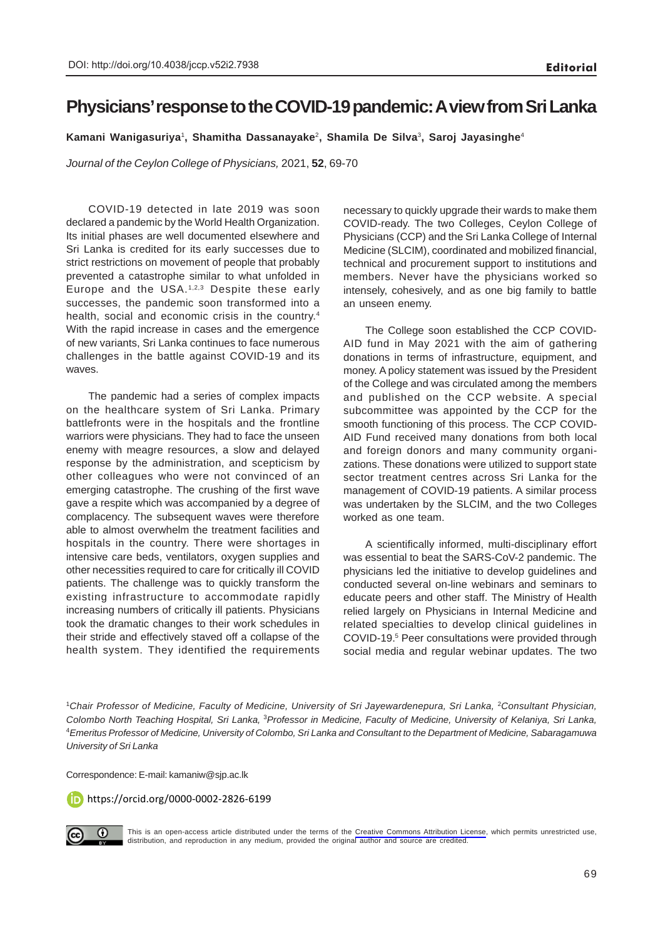## **Physicians' response to the COVID-19 pandemic: A view from Sri Lanka**

**Kamani Wanigasuriya**<sup>1</sup> **, Shamitha Dassanayake**<sup>2</sup>**, Shamila De Silva**<sup>3</sup> **, Saroj Jayasinghe**<sup>4</sup>

*Journal of the Ceylon College of Physicians,* 2021, **52**, 69-70

COVID-19 detected in late 2019 was soon declared a pandemic by the World Health Organization. Its initial phases are well documented elsewhere and Sri Lanka is credited for its early successes due to strict restrictions on movement of people that probably prevented a catastrophe similar to what unfolded in Europe and the USA.1,2,3 Despite these early successes, the pandemic soon transformed into a health, social and economic crisis in the country.<sup>4</sup> With the rapid increase in cases and the emergence of new variants, Sri Lanka continues to face numerous challenges in the battle against COVID-19 and its waves.

The pandemic had a series of complex impacts on the healthcare system of Sri Lanka. Primary battlefronts were in the hospitals and the frontline warriors were physicians. They had to face the unseen enemy with meagre resources, a slow and delayed response by the administration, and scepticism by other colleagues who were not convinced of an emerging catastrophe. The crushing of the first wave gave a respite which was accompanied by a degree of complacency. The subsequent waves were therefore able to almost overwhelm the treatment facilities and hospitals in the country. There were shortages in intensive care beds, ventilators, oxygen supplies and other necessities required to care for critically ill COVID patients. The challenge was to quickly transform the existing infrastructure to accommodate rapidly increasing numbers of critically ill patients. Physicians took the dramatic changes to their work schedules in their stride and effectively staved off a collapse of the health system. They identified the requirements necessary to quickly upgrade their wards to make them COVID-ready. The two Colleges, Ceylon College of Physicians (CCP) and the Sri Lanka College of Internal Medicine (SLCIM), coordinated and mobilized financial, technical and procurement support to institutions and members. Never have the physicians worked so intensely, cohesively, and as one big family to battle an unseen enemy.

The College soon established the CCP COVID-AID fund in May 2021 with the aim of gathering donations in terms of infrastructure, equipment, and money. A policy statement was issued by the President of the College and was circulated among the members and published on the CCP website. A special subcommittee was appointed by the CCP for the smooth functioning of this process. The CCP COVID-AID Fund received many donations from both local and foreign donors and many community organizations. These donations were utilized to support state sector treatment centres across Sri Lanka for the management of COVID-19 patients. A similar process was undertaken by the SLCIM, and the two Colleges worked as one team.

A scientifically informed, multi-disciplinary effort was essential to beat the SARS-CoV-2 pandemic. The physicians led the initiative to develop guidelines and conducted several on-line webinars and seminars to educate peers and other staff. The Ministry of Health relied largely on Physicians in Internal Medicine and related specialties to develop clinical guidelines in COVID-19.5 Peer consultations were provided through social media and regular webinar updates. The two

<sup>1</sup>Chair Professor of Medicine, Faculty of Medicine, University of Sri Jayewardenepura, Sri Lanka, <sup>2</sup>Consultant Physician, *Colombo North Teaching Hospital, Sri Lanka,* <sup>3</sup>*Professor in Medicine, Faculty of Medicine, University of Kelaniya, Sri Lanka,* <sup>4</sup>*Emeritus Professor of Medicine, University of Colombo, Sri Lanka and Consultant to the Department of Medicine, Sabaragamuwa University of Sri Lanka*

Correspondence: E-mail: kamaniw@sjp.ac.lk

https://orcid.org/0000-0002-2826-6199



This is an open-access article distributed under the terms of the [Creative Commons Attribution License](https://creativecommons.org/licenses/by/4.0/legalcode), which permits unrestricted use, distribution, and reproduction in any medium, provided the original author and source are credited.